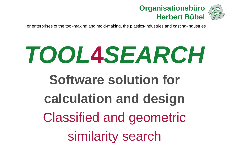

## **TOOL4SEARCHSoftware solution forcalculation and design**Classified and geometricsimilarity search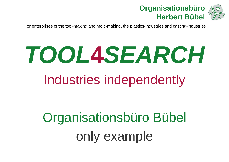

## **TOOL4SEARCH**Industries independently

Organisationsbüro Bübelonly example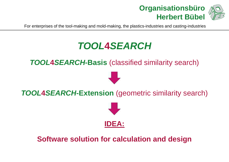



#### **TOOL4SEARCH**

**TOOL4SEARCH-Basis** (classified similarity search)

#### **TOOL4SEARCH-Extension** (geometric similarity search)



### **Software solution for calculation and design**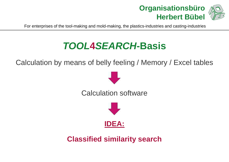



## **TOOL4SEARCH-Basis**

Calculation by means of belly feeling / Memory / Excel tables



**Classified similarity search**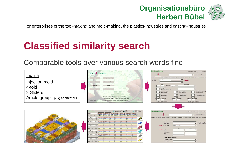



### **Classified similarity search**

Comparable tools over various search words find

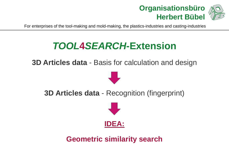



### **TOOL4SEARCH-Extension**

**3D Articles data** - Basis for calculation and design



**3D Articles data** - Recognition (fingerprint)



**Geometric similarity search**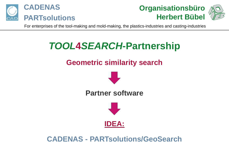





### **TOOL4SEARCH-Partnership**

#### **Geometric similarity search**



**Partner software**



**CADENAS - PARTsolutions/GeoSearch**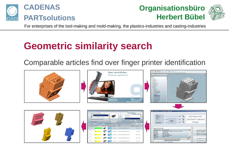





### **Geometric similarity search**

Comparable articles find over finger printer identification

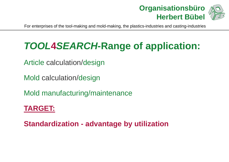



## **TOOL4SEARCH-Range of application:**

Article calculation/design

Mold calculation/design

Mold manufacturing/maintenance

#### **TARGET:**

**Standardization - advantage by utilization**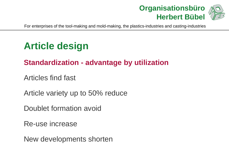

#### **Article design**

#### **Standardization - advantage by utilization**

Articles find fast

Article variety up to 50% reduce

Doublet formation avoid

Re-use increase

New developments shorten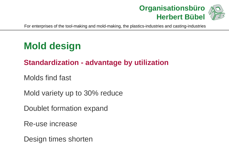

#### **Mold design**

#### **Standardization - advantage by utilization**

Molds find fast

Mold variety up to 30% reduce

Doublet formation expand

Re-use increase

Design times shorten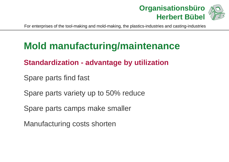

#### **Mold manufacturing/maintenance**

#### **Standardization - advantage by utilization**

Spare parts find fast

Spare parts variety up to 50% reduce

Spare parts camps make smaller

Manufacturing costs shorten